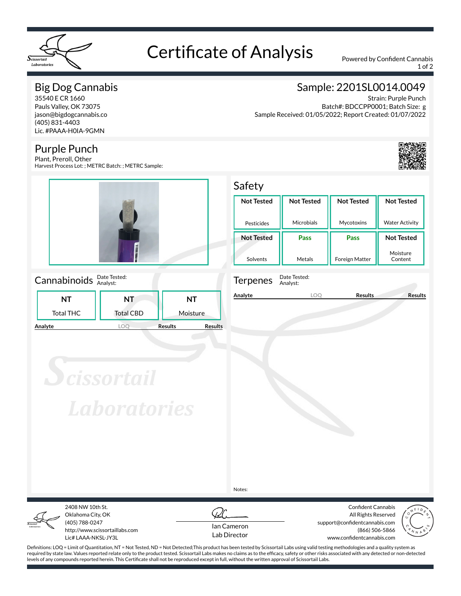

# Certificate of Analysis Powered by Confident Cannabis

1 of 2

## Big Dog Cannabis

35540 E CR 1660 Pauls Valley, OK 73075 jason@bigdogcannabis.co (405) 831-4403 Lic. #PAAA-H0IA-9GMN

### Purple Punch

Plant, Preroll, Other Harvest Process Lot: ; METRC Batch: ; METRC Sample:



#### Cannabinoids **Date Tested:**

|         | NΤ               | NT               | NΤ                               |  |  |  |
|---------|------------------|------------------|----------------------------------|--|--|--|
|         | <b>Total THC</b> | <b>Total CBD</b> | Moisture                         |  |  |  |
| Analyte |                  |                  | <b>Results</b><br><b>Results</b> |  |  |  |

# Sample: 2201SL0014.0049

Strain: Purple Punch Batch#: BDCCPP0001; Batch Size: g Sample Received: 01/05/2022; Report Created: 01/07/2022



**Not Tested**

#### Safety **Not Tested Not Tested Not Tested**

| Pesticides        | Microbials | Mycotoxins            | <b>Water Activity</b> |  |  |
|-------------------|------------|-----------------------|-----------------------|--|--|
| <b>Not Tested</b> | Pass       | Pass                  | <b>Not Tested</b>     |  |  |
| Solvents          | Metals     | <b>Foreign Matter</b> | Moisture<br>Content   |  |  |



Terpenes Date Tested: Analyst:

**Analyte LOQ Results Results**

**Scissortail Laboratories** 

Notes:



Oklahoma City, OK (405) 788-0247 http://www.scissortaillabs.com Lic# LAAA-NKSL-JY3L

2408 NW 10th St.



Confident Cannabis All Rights Reserved support@confidentcannabis.com (866) 506-5866 www.confidentcannabis.com



Definitions: LOQ = Limit of Quantitation, NT = Not Tested, ND = Not Detected;This product has been tested by Scissortail Labs using valid testing methodologies and a quality system as required by state law. Values reported relate only to the product tested. Scissortail Labs makes no claims as to the efficacy, safety or other risks associated with any detected or non-detected levels of any compounds reported herein. This Certificate shall not be reproduced except in full, without the written approval of Scissortail Labs.